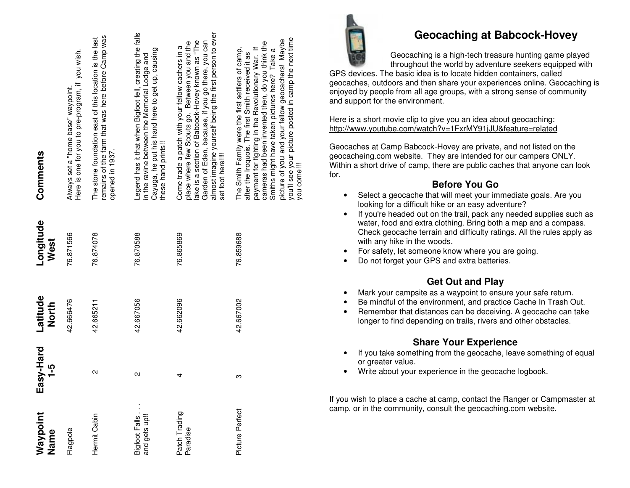| Waypoint<br>Name               | Easy-Hard<br>$-5$ | Latitude<br><b>North</b> | Longitude<br>West | Comments                                                                                                                                                                                                                                                                                                                                                                                     |
|--------------------------------|-------------------|--------------------------|-------------------|----------------------------------------------------------------------------------------------------------------------------------------------------------------------------------------------------------------------------------------------------------------------------------------------------------------------------------------------------------------------------------------------|
| Flagpole                       |                   | 42.666476                | 76.871566         | Here is one for you to pre-program, if you wish.<br>Always set a "home base" waypoint.                                                                                                                                                                                                                                                                                                       |
| Hermit Cabin                   | N                 | 42.665211                | 76.874078         | remains of the farm that was here before Camp was<br>The stone foundation east of this location is the last<br>opened in 1937.                                                                                                                                                                                                                                                               |
| Bigfoot Falls.<br>and gets up! | Ν                 | 42.667056                | 76.870588         | Legend has it that when Bigfoot fell, creating the falls<br>Cayuga, he put his hand here to get up, causing<br>in the ravine between the Memorial Lodge and<br>these hand prints!!                                                                                                                                                                                                           |
| Patch Trading<br>Paradise      | 4                 | 42.662096                | 76.865869         | almost imagine yourself being the first person to ever<br>lake is a section of Babcock-Hovey known as "The<br>Garden of Eden, because, if you go there, you can<br>place where few Scouts go. Between you and the<br>Come trade a patch with your fellow cachers in a<br>set foot here!!!!                                                                                                   |
| Picture Perfect                | ო                 | 42.667002                | 76.859688         | you'll see your picture posted in camp the next time<br>picture of you and your fellow geocachers! Maybe<br>cameras had been invented then, do you think the<br>payment for fighting in the Revolutionary War. If<br>The Smith Family were the first settlers of camp,<br>Smiths might have taken pictures here? Take a<br>after the Iroquois. The first Smith received it as<br>you come!!! |



## **Geocaching at Babcock-Hovey**

Geocaching is a high-tech treasure hunting game played throughout the world by adventure seekers equipped with

GPS devices. The basic idea is to locate hidden containers, called geocaches, outdoors and then share your experiences online. Geocaching is enjoyed by people from all age groups, with a strong sense of community and support for the environment.

Here is a short movie clip to give you an idea about geocaching: http://www.youtube.com/watch?v=1FxrMY91jJU&feature=related

Geocaches at Camp Babcock-Hovey are private, and not listed on the geocacheing.com website. They are intended for our campers ONLY. Within a short drive of camp, there are public caches that anyone can look for.

## **Before You Go**

- Select a geocache that will meet your immediate goals. Are you looking for a difficult hike or an easy adventure?
- If you're headed out on the trail, pack any needed supplies such as water, food and extra clothing. Bring both a map and a compass. Check geocache terrain and difficulty ratings. All the rules apply as with any hike in the woods.
- For safety, let someone know where you are going.
- Do not forget your GPS and extra batteries.

# **Get Out and Play**

- Mark your campsite as a waypoint to ensure your safe return.
- Be mindful of the environment, and practice Cache In Trash Out.
- Remember that distances can be deceiving. A geocache can take longer to find depending on trails, rivers and other obstacles.

## **Share Your Experience**

- If you take something from the geocache, leave something of equal or greater value.
- Write about your experience in the geocache logbook.

If you wish to place a cache at camp, contact the Ranger or Campmaster at camp, or in the community, consult the geocaching.com website.